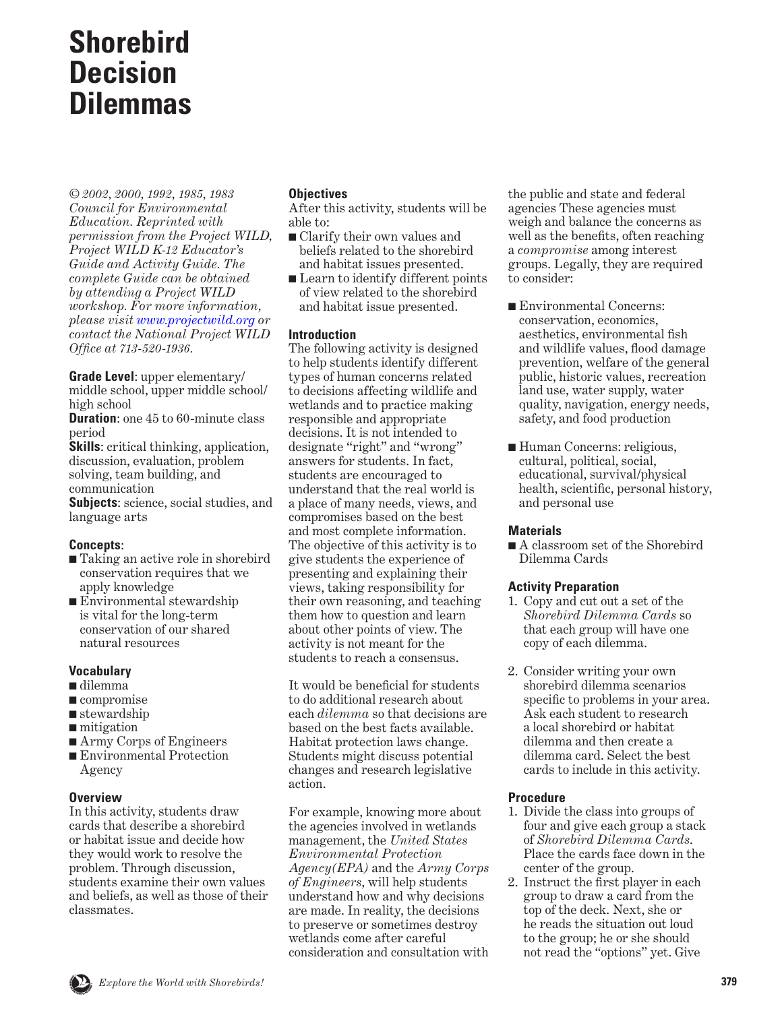# **Shorebird Decision Dilemmas**

*© 2002, 2000, 1992, 1985, 1983 Council for Environmental Education. Reprinted with permission from the Project WILD, Project WILD K-12 Educator's Guide and Activity Guide. The complete Guide can be obtained by attending a Project WILD workshop. For more information, please visit [www.projectwild.org](http://www.projectwild.org) or contact the National Project WILD Office at 713-520-1936.*

**Grade Level**: upper elementary/ middle school, upper middle school/ high school

**Duration:** one 45 to 60-minute class period

**Skills**: critical thinking, application, discussion, evaluation, problem solving, team building, and communication

**Subjects**: science, social studies, and language arts

## **Concepts**:

- Taking an active role in shorebird conservation requires that we apply knowledge
- Environmental stewardship is vital for the long-term conservation of our shared natural resources

## **Vocabulary**

- dilemma
- compromise
- stewardship
- mitigation
- Army Corps of Engineers
- Environmental Protection Agency

#### **Overview**

In this activity, students draw cards that describe a shorebird or habitat issue and decide how they would work to resolve the problem. Through discussion, students examine their own values and beliefs, as well as those of their classmates.

## **Objectives**

After this activity, students will be able to:

- Clarify their own values and beliefs related to the shorebird and habitat issues presented.
- Learn to identify different points of view related to the shorebird and habitat issue presented.

## **Introduction**

The following activity is designed to help students identify different types of human concerns related to decisions affecting wildlife and wetlands and to practice making responsible and appropriate decisions. It is not intended to designate "right" and "wrong" answers for students. In fact, students are encouraged to understand that the real world is a place of many needs, views, and compromises based on the best and most complete information. The objective of this activity is to give students the experience of presenting and explaining their views, taking responsibility for their own reasoning, and teaching them how to question and learn about other points of view. The activity is not meant for the students to reach a consensus.

It would be beneficial for students to do additional research about each *dilemma* so that decisions are based on the best facts available. Habitat protection laws change. Students might discuss potential changes and research legislative action.

For example, knowing more about the agencies involved in wetlands management, the *United States Environmental Protection Agency(EPA)* and the *Army Corps of Engineers*, will help students understand how and why decisions are made. In reality, the decisions to preserve or sometimes destroy wetlands come after careful consideration and consultation with the public and state and federal agencies These agencies must weigh and balance the concerns as well as the benefits, often reaching a *compromise* among interest groups. Legally, they are required to consider:

- Environmental Concerns: conservation, economics, aesthetics, environmental fish and wildlife values, flood damage prevention, welfare of the general public, historic values, recreation land use, water supply, water quality, navigation, energy needs, safety, and food production
- Human Concerns: religious, cultural, political, social, educational, survival/physical health, scientific, personal history, and personal use

#### **Materials**

■ A classroom set of the Shorebird Dilemma Cards

#### **Activity Preparation**

- 1. Copy and cut out a set of the *Shorebird Dilemma Cards* so that each group will have one copy of each dilemma.
- 2. Consider writing your own shorebird dilemma scenarios specific to problems in your area. Ask each student to research a local shorebird or habitat dilemma and then create a dilemma card. Select the best cards to include in this activity.

## **Procedure**

- 1. Divide the class into groups of four and give each group a stack of *Shorebird Dilemma Cards*. Place the cards face down in the center of the group.
- 2. Instruct the first player in each group to draw a card from the top of the deck. Next, she or he reads the situation out loud to the group; he or she should not read the "options" yet. Give

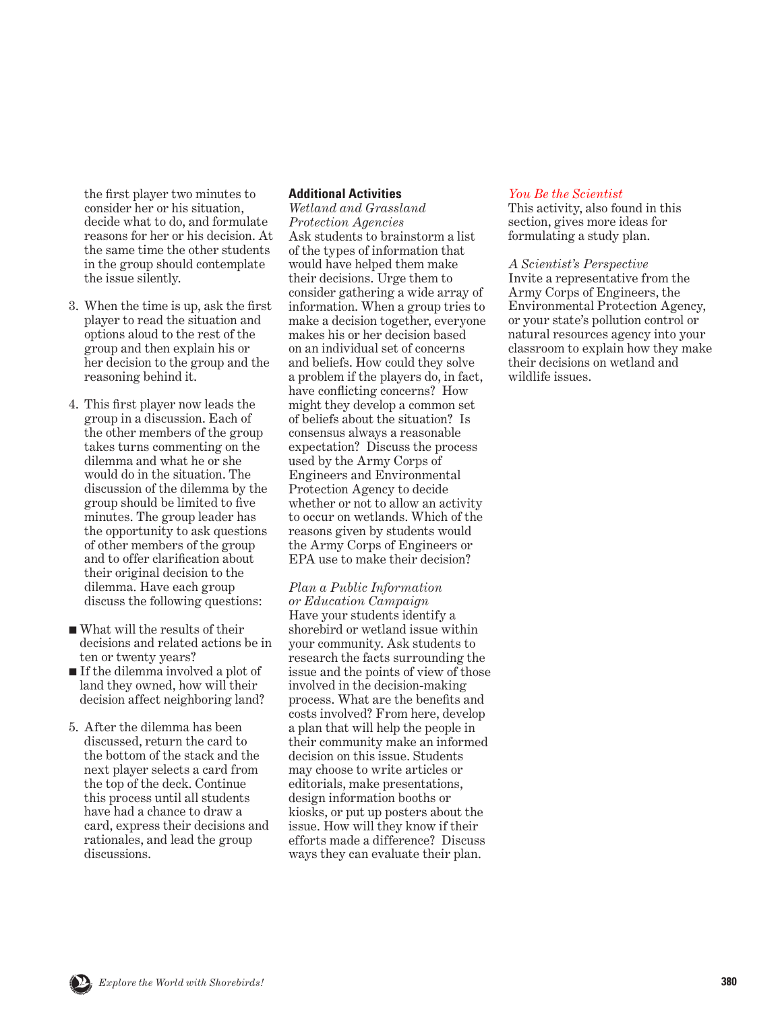the first player two minutes to consider her or his situation, decide what to do, and formulate reasons for her or his decision. At the same time the other students in the group should contemplate the issue silently.

- 3. When the time is up, ask the first player to read the situation and options aloud to the rest of the group and then explain his or her decision to the group and the reasoning behind it.
- 4. This first player now leads the group in a discussion. Each of the other members of the group takes turns commenting on the dilemma and what he or she would do in the situation. The discussion of the dilemma by the group should be limited to five minutes. The group leader has the opportunity to ask questions of other members of the group and to offer clarification about their original decision to the dilemma. Have each group discuss the following questions:
- What will the results of their decisions and related actions be in ten or twenty years?
- If the dilemma involved a plot of land they owned, how will their decision affect neighboring land?
- 5. After the dilemma has been discussed, return the card to the bottom of the stack and the next player selects a card from the top of the deck. Continue this process until all students have had a chance to draw a card, express their decisions and rationales, and lead the group discussions.

#### **Additional Activities**

*Wetland and Grassland Protection Agencies* Ask students to brainstorm a list of the types of information that would have helped them make their decisions. Urge them to consider gathering a wide array of information. When a group tries to make a decision together, everyone makes his or her decision based on an individual set of concerns and beliefs. How could they solve a problem if the players do, in fact, have conflicting concerns? How might they develop a common set of beliefs about the situation? Is consensus always a reasonable expectation? Discuss the process used by the Army Corps of Engineers and Environmental Protection Agency to decide whether or not to allow an activity to occur on wetlands. Which of the reasons given by students would the Army Corps of Engineers or EPA use to make their decision?

*Plan a Public Information or Education Campaign* Have your students identify a shorebird or wetland issue within your community. Ask students to research the facts surrounding the issue and the points of view of those involved in the decision-making process. What are the benefits and costs involved? From here, develop a plan that will help the people in their community make an informed decision on this issue. Students may choose to write articles or editorials, make presentations, design information booths or kiosks, or put up posters about the issue. How will they know if their efforts made a difference? Discuss ways they can evaluate their plan.

#### *[You Be the Scientist](#page-11-0)*

This activity, also found in this section, gives more ideas for formulating a study plan.

### *A Scientist's Perspective*

Invite a representative from the Army Corps of Engineers, the Environmental Protection Agency, or your state's pollution control or natural resources agency into your classroom to explain how they make their decisions on wetland and wildlife issues.